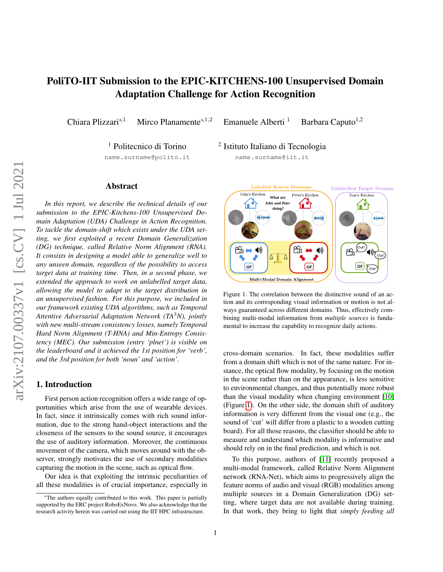# PoliTO-IIT Submission to the EPIC-KITCHENS-100 Unsupervised Domain Adaptation Challenge for Action Recognition

Chiara Plizzari<sup>\*,1</sup> Mirco Planamente<sup>\*,1,2</sup> Emanuele Alberti<sup>1</sup> Barbara Caputo<sup>1,2</sup>

<sup>1</sup> Politecnico di Torino

2 Istituto Italiano di Tecnologia

name.surname@polito.it

# Abstract

*In this report, we describe the technical details of our submission to the EPIC-Kitchens-100 Unsupervised Domain Adaptation (UDA) Challenge in Action Recognition. To tackle the domain-shift which exists under the UDA setting, we first exploited a recent Domain Generalization (DG) technique, called Relative Norm Alignment (RNA). It consists in designing a model able to generalize well to any unseen domain, regardless of the possibility to access target data at training time. Then, in a second phase, we extended the approach to work on unlabelled target data, allowing the model to adapt to the target distribution in an unsupervised fashion. For this purpose, we included in our framework existing UDA algorithms, such as Temporal Attentive Adversarial Adaptation Network (TA*3*N), jointly with new multi-stream consistency losses, namely Temporal Hard Norm Alignment (T-HNA) and Min-Entropy Consistency (MEC). Our submission (entry 'plnet') is visible on the leaderboard and it achieved the 1st position for 'verb', and the 3rd position for both 'noun' and 'action'.*

# 1. Introduction

First person action recognition offers a wide range of opportunities which arise from the use of wearable devices. In fact, since it intrinsically comes with rich sound information, due to the strong hand-object interactions and the closeness of the sensors to the sound source, it encourages the use of auditory information. Moreover, the continuous movement of the camera, which moves around with the observer, strongly motivates the use of secondary modalities capturing the motion in the scene, such as optical flow.

Our idea is that exploiting the intrinsic peculiarities of all these modalities is of crucial importance, especially in

name.surname@iit.it



<span id="page-0-0"></span>Figure 1. The correlation between the distinctive sound of an action and its corresponding visual information or motion is not always guaranteed across different domains. Thus, effectively combining multi-modal information from *multiple sources* is fundamental to increase the capability to recognize daily actions.

cross-domain scenarios. In fact, these modalities suffer from a domain shift which is not of the same nature. For instance, the optical flow modality, by focusing on the motion in the scene rather than on the appearance, is less sensitive to environmental changes, and thus potentially more robust than the visual modality when changing environment [\[10\]](#page-3-0) (Figure [1\)](#page-0-0). On the other side, the domain shift of auditory information is very different from the visual one (e.g., the sound of 'cut' will differ from a plastic to a wooden cutting board). For all those reasons, the classifier should be able to measure and understand which modality is informative and should rely on in the final prediction, and which is not.

To this purpose, authors of [\[11\]](#page-3-1) recently proposed a multi-modal framework, called Relative Norm Alignment network (RNA-Net), which aims to progressively align the feature norms of audio and visual (RGB) modalities among multiple sources in a Domain Generalization (DG) setting, where target data are not available during training. In that work, they bring to light that *simply feeding all*

<sup>\*</sup>The authors equally contributed to this work. This paper is partially supported by the ERC project RoboExNovo. We also acknowledge that the research activity herein was carried out using the IIT HPC infrastructure.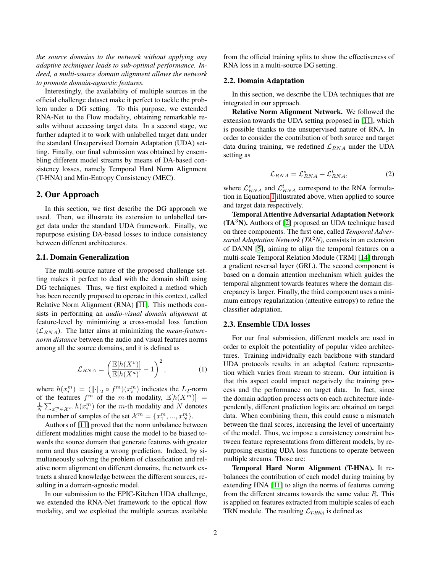*the source domains to the network without applying any adaptive techniques leads to sub-optimal performance. Indeed, a multi-source domain alignment allows the network to promote domain-agnostic features.*

Interestingly, the availability of multiple sources in the official challenge dataset make it perfect to tackle the problem under a DG setting. To this purpose, we extended RNA-Net to the Flow modality, obtaining remarkable results without accessing target data. In a second stage, we further adapted it to work with unlabelled target data under the standard Unsupervised Domain Adaptation (UDA) setting. Finally, our final submission was obtained by ensembling different model streams by means of DA-based consistency losses, namely Temporal Hard Norm Alignment (T-HNA) and Min-Entropy Consistency (MEC).

# 2. Our Approach

In this section, we first describe the DG approach we used. Then, we illustrate its extension to unlabelled target data under the standard UDA framework. Finally, we repurpose existing DA-based losses to induce consistency between different architectures.

#### 2.1. Domain Generalization

The multi-source nature of the proposed challenge setting makes it perfect to deal with the domain shift using DG techniques. Thus, we first exploited a method which has been recently proposed to operate in this context, called Relative Norm Alignment (RNA) [\[11\]](#page-3-1). This methods consists in performing an *audio-visual domain alignment* at feature-level by minimizing a cross-modal loss function  $(\mathcal{L}_{RNA})$ . The latter aims at minimizing the *mean-featurenorm distance* between the audio and visual features norms among all the source domains, and it is defined as

<span id="page-1-0"></span>
$$
\mathcal{L}_{RNA} = \left(\frac{\mathbb{E}[h(X^v)]}{\mathbb{E}[h(X^a)]} - 1\right)^2, \tag{1}
$$

where  $h(x_i^m) = (||\cdot||_2 \circ f^m)(x_i^m)$  indicates the  $L_2$ -norm of the features  $f^m$  of the m-th modality,  $\mathbb{E}[h(X^m)] =$  $\frac{1}{N} \sum_{x_i^m \in \mathcal{X}^m} h(x_i^m)$  for the *m*-th modality and N denotes the number of samples of the set  $\mathcal{X}^m = \{x_1^m, ..., x_N^m\}.$ 

Authors of [\[11\]](#page-3-1) proved that the norm unbalance between different modalities might cause the model to be biased towards the source domain that generate features with greater norm and thus causing a wrong prediction. Indeed, by simultaneously solving the problem of classification and relative norm alignment on different domains, the network extracts a shared knowledge between the different sources, resulting in a domain-agnostic model.

In our submission to the EPIC-Kitchen UDA challenge, we extended the RNA-Net framework to the optical flow modality, and we exploited the multiple sources available from the official training splits to show the effectiveness of RNA loss in a multi-source DG setting.

#### 2.2. Domain Adaptation

In this section, we describe the UDA techniques that are integrated in our approach.

Relative Norm Alignment Network. We followed the extension towards the UDA setting proposed in [\[11\]](#page-3-1), which is possible thanks to the unsupervised nature of RNA. In order to consider the contribution of both source and target data during training, we redefined  $\mathcal{L}_{RNA}$  under the UDA setting as

$$
\mathcal{L}_{RNA} = \mathcal{L}_{RNA}^s + \mathcal{L}_{RNA}^t,\tag{2}
$$

where  $\mathcal{L}_{RNA}^s$  and  $\mathcal{L}_{RNA}^t$  correspond to the RNA formulation in Equation [1](#page-1-0) illustrated above, when applied to source and target data respectively.

Temporal Attentive Adversarial Adaptation Network  $(TA<sup>3</sup>N)$ . Authors of [\[2\]](#page-3-2) proposed an UDA technique based on three components. The first one, called *Temporal Adversarial Adaptation Network (TA*2*N)*, consists in an extension of DANN [\[5\]](#page-3-3), aiming to align the temporal features on a multi-scale Temporal Relation Module (TRM) [\[14\]](#page-3-4) through a gradient reversal layer (GRL). The second component is based on a domain attention mechanism which guides the temporal alignment towards features where the domain discrepancy is larger. Finally, the third component uses a minimum entropy regularization (attentive entropy) to refine the classifier adaptation.

#### 2.3. Ensemble UDA losses

For our final submission, different models are used in order to exploit the potentiality of popular video architectures. Training individually each backbone with standard UDA protocols results in an adapted feature representation which varies from stream to stream. Our intuition is that this aspect could impact negatively the training process and the performance on target data. In fact, since the domain adaption process acts on each architecture independently, different prediction logits are obtained on target data. When combining them, this could cause a mismatch between the final scores, increasing the level of uncertainty of the model. Thus, we impose a consistency constraint between feature representations from different models, by repurposing existing UDA loss functions to operate between multiple streams. Those are:

Temporal Hard Norm Alignment (T-HNA). It rebalances the contribution of each model during training by extending HNA [\[11\]](#page-3-1) to align the norms of features coming from the different streams towards the same value  $R$ . This is applied on features extracted from multiple scales of each TRN module. The resulting  $\mathcal{L}_{T\text{-}HNA}$  is defined as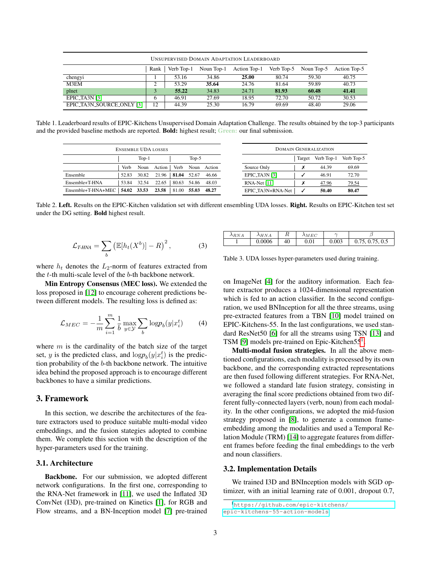| <b>UNSUPERVISED DOMAIN ADAPTATION LEADERBOARD</b> |      |            |            |              |            |            |              |  |  |  |
|---------------------------------------------------|------|------------|------------|--------------|------------|------------|--------------|--|--|--|
|                                                   | Rank | Verb Top-1 | Noun Top-1 | Action Top-1 | Verb Top-5 | Noun Top-5 | Action Top-5 |  |  |  |
| chengyi                                           |      | 53.16      | 34.86      | 25.00        | 80.74      | 59.30      | 40.75        |  |  |  |
| M3EM                                              | ◠    | 53.29      | 35.64      | 24.76        | 81.64      | 59.89      | 40.73        |  |  |  |
| plnet                                             | 3    | 55.22      | 34.83      | 24.71        | 81.93      | 60.48      | 41.41        |  |  |  |
| EPIC_TA3N [3]                                     | 6    | 46.91      | 27.69      | 18.95        | 72.70      | 50.72      | 30.53        |  |  |  |
| EPIC_TA3N_SOURCE_ONLY [3]                         | 12   | 44.39      | 25.30      | 16.79        | 69.69      | 48.40      | 29.06        |  |  |  |

<span id="page-2-3"></span>Table 1. Leaderboard results of EPIC-Kitchens Unsupervised Domain Adaptation Challenge. The results obtained by the top-3 participants and the provided baseline methods are reported. Bold: highest result; Green: our final submission.

| <b>ENSEMBLE UDA LOSSES</b> |       |         |        |       |         | <b>DOMAIN GENERALIZATION</b> |                   |        |            |              |
|----------------------------|-------|---------|--------|-------|---------|------------------------------|-------------------|--------|------------|--------------|
|                            |       | $Top-1$ |        |       | $Top-5$ |                              |                   | Target | Verb Top-1 | Verb Top-5   |
|                            | Verb  | Noun    | Action | Verb  | Noun    | Action                       | Source Only       |        | 44.39      | 69.69        |
| Ensemble                   | 52.83 | 30.82   | 21.96  | 81.04 | 52.67   | 46.66                        | EPIC_TA3N [3]     |        | 46.91      | 72.70        |
| Ensemble+T-HNA             | 53.84 | 32.54   | 22.65  | 80.63 | 54.86   | 48.03                        | $RNA-Net [11]$    |        | 47.96      | <u>79.54</u> |
| Ensemble+T-HNA+MEC         | 54.02 | 33.53   | 23.58  | 81.00 | 55.03   | 48.27                        | EPIC_TA3N+RNA-Net |        | 50.40      | 80.47        |

<span id="page-2-4"></span>Table 2. Left. Results on the EPIC-Kitchen validation set with different ensembling UDA losses. Right. Results on EPIC-Kitchen test set under the DG setting. Bold highest result.

$$
\mathcal{L}_{T\text{-HNA}} = \sum_{b} \left( \mathbb{E}[h_t(X^b)] - R \right)^2, \tag{3}
$$

where  $h_t$  denotes the  $L_2$ -norm of features extracted from the t-th multi-scale level of the b-th backbone network.

Min Entropy Consensus (MEC loss). We extended the loss proposed in [\[12\]](#page-3-6) to encourage coherent predictions between different models. The resulting loss is defined as:

<span id="page-2-2"></span>
$$
\mathcal{L}_{MEC} = -\frac{1}{m} \sum_{i=1}^{m} \frac{1}{b} \max_{y \in \mathcal{Y}} \sum_{b} \log p_b(y | x_i^t)
$$
(4)

where  $m$  is the cardinality of the batch size of the target set, y is the predicted class, and  $\log p_b(y|x_i^t)$  is the prediction probability of the b-th backbone network. The intuitive idea behind the proposed approach is to encourage different backbones to have a similar predictions.

## 3. Framework

In this section, we describe the architectures of the feature extractors used to produce suitable multi-modal video embeddings, and the fusion stategies adopted to combine them. We complete this section with the description of the hyper-parameters used for the training.

### 3.1. Architecture

Backbone. For our submission, we adopted different network configurations. In the first one, corresponding to the RNA-Net framework in [\[11\]](#page-3-1), we used the Inflated 3D ConvNet (I3D), pre-trained on Kinetics [\[1\]](#page-3-7), for RGB and Flow streams, and a BN-Inception model [\[7\]](#page-3-8) pre-trained

| RN | $\lambda$ H N A | D<br>īι | $\lambda_{MEC}$ |       |                               |
|----|-----------------|---------|-----------------|-------|-------------------------------|
|    | 0.0006          | 40      | 0.01            | 0.003 | .0.5<br>$ -$<br>0.75,<br>0.13 |

<span id="page-2-1"></span>Table 3. UDA losses hyper-parameters used during training.

on ImageNet [\[4\]](#page-3-9) for the auditory information. Each feature extractor produces a 1024-dimensional representation which is fed to an action classifier. In the second configuration, we used BNInception for all the three streams, using pre-extracted features from a TBN [\[10\]](#page-3-0) model trained on EPIC-Kitchens-55. In the last configurations, we used standard ResNet50 [\[6\]](#page-3-10) for all the streams using TSN [\[13\]](#page-3-11) and TSM [\[9\]](#page-3-12) models pre-trained on Epic-Kitchen55<sup>[1](#page-2-0)</sup>.

Multi-modal fusion strategies. In all the above mentioned configurations, each modality is processed by its own backbone, and the corresponding extracted representations are then fused following different strategies. For RNA-Net, we followed a standard late fusion strategy, consisting in averaging the final score predictions obtained from two different fully-connected layers (verb, noun) from each modality. In the other configurations, we adopted the mid-fusion strategy proposed in [\[8\]](#page-3-13), to generate a common frameembedding among the modalities and used a Temporal Relation Module (TRM) [\[14\]](#page-3-4) to aggregate features from different frames before feeding the final embeddings to the verb and noun classifiers.

#### 3.2. Implementation Details

We trained I3D and BNInception models with SGD optimizer, with an initial learning rate of 0.001, dropout 0.7,

<span id="page-2-0"></span><sup>1</sup>[https://github.com/epic-kitchens/](https://github.com/epic-kitchens/epic-kitchens-55-action-models) [epic-kitchens-55-action-models](https://github.com/epic-kitchens/epic-kitchens-55-action-models)